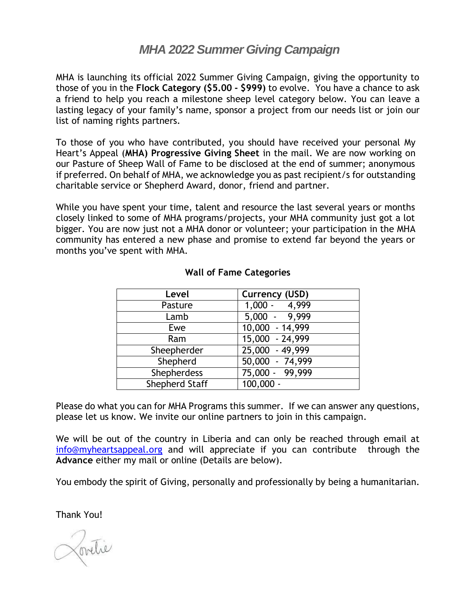## *MHA 2022 Summer Giving Campaign*

MHA is launching its official 2022 Summer Giving Campaign, giving the opportunity to those of you in the **Flock Category (\$5.00 - \$999)** to evolve. You have a chance to ask a friend to help you reach a milestone sheep level category below. You can leave a lasting legacy of your family's name, sponsor a project from our needs list or join our list of naming rights partners.

To those of you who have contributed, you should have received your personal My Heart's Appeal (**MHA) Progressive Giving Sheet** in the mail. We are now working on our Pasture of Sheep Wall of Fame to be disclosed at the end of summer; anonymous if preferred. On behalf of MHA, we acknowledge you as past recipient/s for outstanding charitable service or Shepherd Award, donor, friend and partner.

While you have spent your time, talent and resource the last several years or months closely linked to some of MHA programs/projects, your MHA community just got a lot bigger. You are now just not a MHA donor or volunteer; your participation in the MHA community has entered a new phase and promise to extend far beyond the years or months you've spent with MHA.

| Level                 | Currency (USD)  |
|-----------------------|-----------------|
| Pasture               | $1,000 - 4,999$ |
| Lamb                  | 5,000 - 9,999   |
| Ewe                   | 10,000 - 14,999 |
| Ram                   | 15,000 - 24,999 |
| Sheepherder           | 25,000 - 49,999 |
| Shepherd              | 50,000 - 74,999 |
| <b>Shepherdess</b>    | 75,000 - 99,999 |
| <b>Shepherd Staff</b> | $100,000 -$     |

## **Wall of Fame Categories**

Please do what you can for MHA Programs this summer. If we can answer any questions, please let us know. We invite our online partners to join in this campaign.

We will be out of the country in Liberia and can only be reached through email at [info@myheartsappeal.org](mailto:info@myheartsappeal.org) and will appreciate if you can contribute through the **Advance** either my mail or online (Details are below).

You embody the spirit of Giving, personally and professionally by being a humanitarian.

Thank You!

Portie